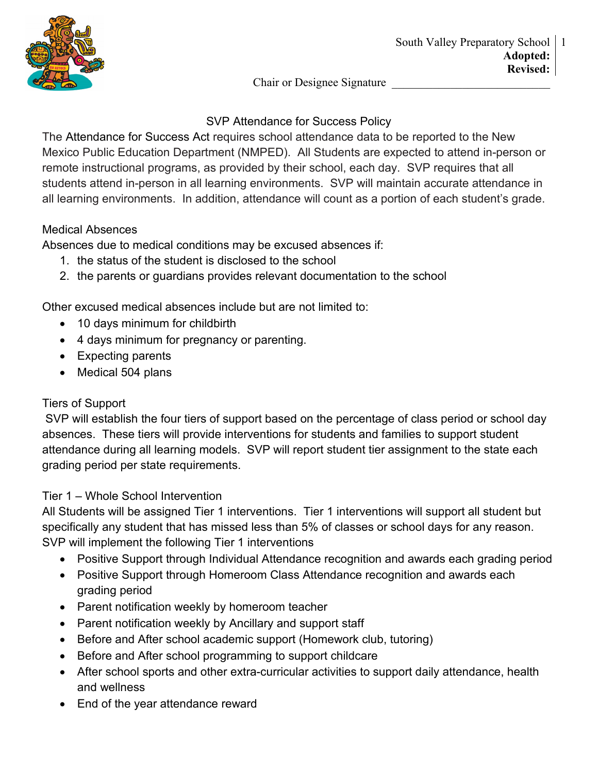

Chair or Designee Signature

# SVP Attendance for Success Policy

The Attendance for Success Act requires school attendance data to be reported to the New Mexico Public Education Department (NMPED). All Students are expected to attend in-person or remote instructional programs, as provided by their school, each day. SVP requires that all students attend in-person in all learning environments. SVP will maintain accurate attendance in all learning environments. In addition, attendance will count as a portion of each student's grade.

## Medical Absences

Absences due to medical conditions may be excused absences if:

- 1. the status of the student is disclosed to the school
- 2. the parents or guardians provides relevant documentation to the school

Other excused medical absences include but are not limited to:

- 10 days minimum for childbirth
- 4 days minimum for pregnancy or parenting.
- Expecting parents
- Medical 504 plans

## Tiers of Support

SVP will establish the four tiers of support based on the percentage of class period or school day absences. These tiers will provide interventions for students and families to support student attendance during all learning models. SVP will report student tier assignment to the state each grading period per state requirements.

# Tier 1 – Whole School Intervention

All Students will be assigned Tier 1 interventions. Tier 1 interventions will support all student but specifically any student that has missed less than 5% of classes or school days for any reason. SVP will implement the following Tier 1 interventions

- Positive Support through Individual Attendance recognition and awards each grading period
- Positive Support through Homeroom Class Attendance recognition and awards each grading period
- Parent notification weekly by homeroom teacher
- Parent notification weekly by Ancillary and support staff
- Before and After school academic support (Homework club, tutoring)
- Before and After school programming to support childcare
- After school sports and other extra-curricular activities to support daily attendance, health and wellness
- End of the year attendance reward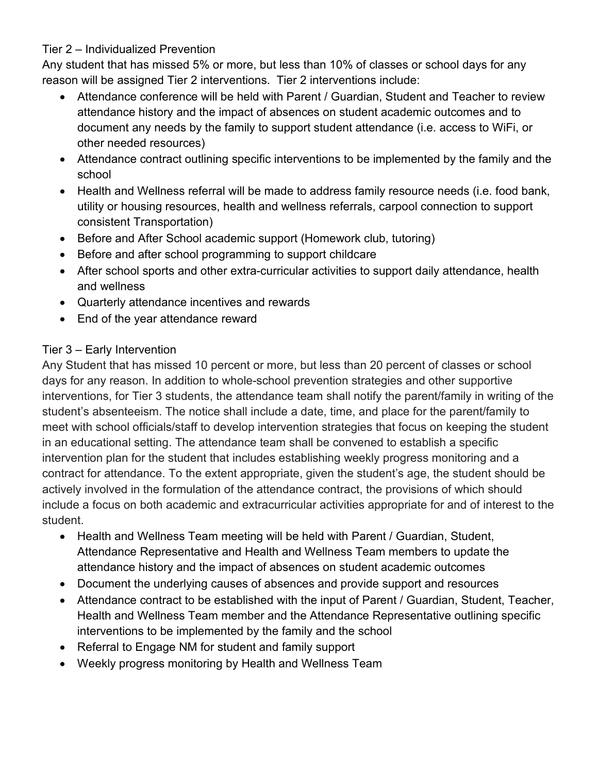#### Tier 2 – Individualized Prevention

Any student that has missed 5% or more, but less than 10% of classes or school days for any reason will be assigned Tier 2 interventions. Tier 2 interventions include:

- Attendance conference will be held with Parent / Guardian, Student and Teacher to review attendance history and the impact of absences on student academic outcomes and to document any needs by the family to support student attendance (i.e. access to WiFi, or other needed resources)
- Attendance contract outlining specific interventions to be implemented by the family and the school
- Health and Wellness referral will be made to address family resource needs (i.e. food bank, utility or housing resources, health and wellness referrals, carpool connection to support consistent Transportation)
- Before and After School academic support (Homework club, tutoring)
- Before and after school programming to support childcare
- After school sports and other extra-curricular activities to support daily attendance, health and wellness
- Quarterly attendance incentives and rewards
- End of the year attendance reward

# Tier 3 – Early Intervention

Any Student that has missed 10 percent or more, but less than 20 percent of classes or school days for any reason. In addition to whole-school prevention strategies and other supportive interventions, for Tier 3 students, the attendance team shall notify the parent/family in writing of the student's absenteeism. The notice shall include a date, time, and place for the parent/family to meet with school officials/staff to develop intervention strategies that focus on keeping the student in an educational setting. The attendance team shall be convened to establish a specific intervention plan for the student that includes establishing weekly progress monitoring and a contract for attendance. To the extent appropriate, given the student's age, the student should be actively involved in the formulation of the attendance contract, the provisions of which should include a focus on both academic and extracurricular activities appropriate for and of interest to the student.

- Health and Wellness Team meeting will be held with Parent / Guardian, Student, Attendance Representative and Health and Wellness Team members to update the attendance history and the impact of absences on student academic outcomes
- Document the underlying causes of absences and provide support and resources
- Attendance contract to be established with the input of Parent / Guardian, Student, Teacher, Health and Wellness Team member and the Attendance Representative outlining specific interventions to be implemented by the family and the school
- Referral to Engage NM for student and family support
- Weekly progress monitoring by Health and Wellness Team